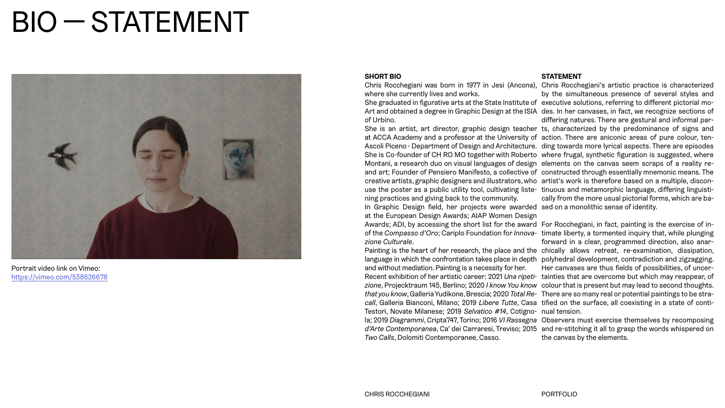# BIO — STATEMENT



#### **SHORT BIO**

where she currently lives and works.

She graduated in figurative arts at the State Institute of executive solutions, referring to different pictorial mo-Art and obtained a degree in Graphic Design at the ISIA des. In her canvases, in fact, we recognize sections of of Urbino.

She is an artist, art director, graphic design teacher ts, characterized by the predominance of signs and at ACCA Academy and a professor at the University of action. There are aniconic areas of pure colour, ten-Ascoli Piceno - Department of Design and Architecture. ding towards more lyrical aspects. There are episodes She is Co-founder of CH RO MO together with Roberto where frugal, synthetic figuration is suggested, where Montani, a research duo on visual languages of design elements on the canvas seem scraps of a reality reand art; Founder of Pensiero Manifesto, a collective of constructed through essentially mnemonic means. The creative artists, graphic designers and illustrators, who artist's work is therefore based on a multiple, disconuse the poster as a public utility tool, cultivating liste-tinuous and metamorphic language, differing linguistining practices and giving back to the community.

In Graphic Design field, her projects were awarded sed on a monolithic sense of identity. at the European Design Awards; AIAP Women Design Awards; ADI, by accessing the short list for the award For Rocchegiani, in fact, painting is the exercise of inof the *Compasso d'Oro*; Cariplo Foundation for *Innova-*timate liberty, a tormented inquiry that, while plunging *zione Culturale*.

Painting is the heart of her research, the place and the chically allows retreat, re-examination, dissipation, language in which the confrontation takes place in depth polyhedral development, contradiction and zigzagging. and without mediation. Painting is a necessity for her.

Chris Rocchegiani was born in 1977 in Jesi (Ancona), Chris Rocchegiani's artistic practice is characterized by the simultaneous presence of several styles and differing natures. There are gestural and informal parcally from the more usual pictorial forms, which are ba-

Recent exhibition of her artistic career: 2021 *Una ripeti-*tainties that are overcome but which may reappear, of *zione*, Projecktraum 145, Berlino; 2020 *I know You know*  colour that is present but may lead to second thoughts. *that you know*, Galleria Yudikone, Brescia; 2020 *Total Re-*There are so many real or potential paintings to be stra*call*, Galleria Bianconi, Milano; 2019 *Libere Tutte*, Casa tified on the surface, all coexisting in a state of conti-Testori, Novate Milanese; 2019 *Selvatico #14*, Cotigno-nual tension. la; 2019 *Diagrammi*, Cripta747, Torino; 2016 *VI Rassegna*  Observers must exercise themselves by recomposing *d'Arte Contemporanea*, Ca' dei Carraresi, Treviso; 2015 and re-stitching it all to grasp the words whispered on *Two Calls*, Dolomiti Contemporanee, Casso.

#### **STATEMENT**

forward in a clear, programmed direction, also anar-Her canvases are thus fields of possibilities, of uncer-

the canvas by the elements.

Portrait video link on Vimeo: <https://vimeo.com/538626678>